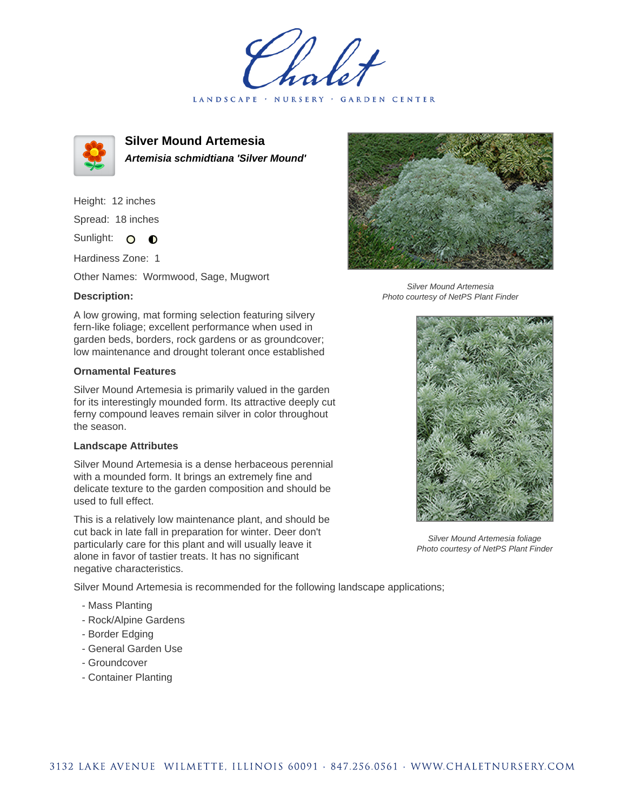LANDSCAPE · NURSERY · GARDEN CENTER



**Silver Mound Artemesia Artemisia schmidtiana 'Silver Mound'**

Height: 12 inches Spread: 18 inches

Sunlight: O  $\bullet$ 

Hardiness Zone: 1

Other Names: Wormwood, Sage, Mugwort

## **Description:**

A low growing, mat forming selection featuring silvery fern-like foliage; excellent performance when used in garden beds, borders, rock gardens or as groundcover; low maintenance and drought tolerant once established

## **Ornamental Features**

Silver Mound Artemesia is primarily valued in the garden for its interestingly mounded form. Its attractive deeply cut ferny compound leaves remain silver in color throughout the season.

## **Landscape Attributes**

Silver Mound Artemesia is a dense herbaceous perennial with a mounded form. It brings an extremely fine and delicate texture to the garden composition and should be used to full effect.

This is a relatively low maintenance plant, and should be cut back in late fall in preparation for winter. Deer don't particularly care for this plant and will usually leave it alone in favor of tastier treats. It has no significant negative characteristics.

Silver Mound Artemesia is recommended for the following landscape applications;

- Mass Planting
- Rock/Alpine Gardens
- Border Edging
- General Garden Use
- Groundcover
- Container Planting



Silver Mound Artemesia Photo courtesy of NetPS Plant Finder



Silver Mound Artemesia foliage Photo courtesy of NetPS Plant Finder